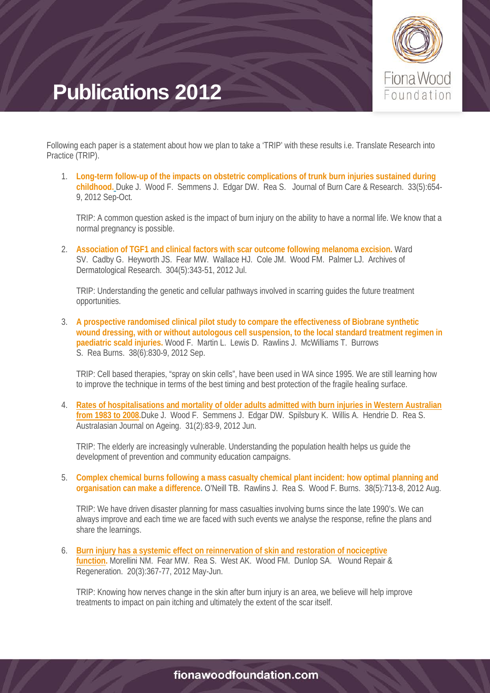

Following each paper is a statement about how we plan to take a 'TRIP' with these results i.e. Translate Research into Practice (TRIP).

1. **[Long-term follow-up of the impacts on obstetric complications of trunk burn injuries sustained during](http://journals.lww.com/burncareresearch/Abstract/2012/09000/Long_Term_Follow_Up_of_the_Impacts_on_Obstetric.13.aspx)  [childhood.](http://journals.lww.com/burncareresearch/Abstract/2012/09000/Long_Term_Follow_Up_of_the_Impacts_on_Obstetric.13.aspx)** Duke J. Wood F. Semmens J. Edgar DW. Rea S. Journal of Burn Care & Research. 33(5):654- 9, 2012 Sep-Oct.

TRIP: A common question asked is the impact of burn injury on the ability to have a normal life. We know that a normal pregnancy is possible.

2. **[Association of TGF1 and clinical factors with scar outcome following melanoma excision.](http://link.springer.com/article/10.1007/s00403-012-1240-6#page-1)** Ward SV. Cadby G. Heyworth JS. Fear MW. Wallace HJ. Cole JM. Wood FM. Palmer LJ. Archives of Dermatological Research. 304(5):343-51, 2012 Jul.

TRIP: Understanding the genetic and cellular pathways involved in scarring guides the future treatment opportunities.

3. **[A prospective randomised clinical pilot study to compare the effectiveness of Biobrane synthetic](http://www.sciencedirect.com/science/article/pii/S0305417912000095)  [wound dressing, with or without autologous cell suspension, to the local standard treatment regimen in](http://www.sciencedirect.com/science/article/pii/S0305417912000095)  [paediatric scald injuries.](http://www.sciencedirect.com/science/article/pii/S0305417912000095)** Wood F. Martin L. Lewis D. Rawlins J. McWilliams T. Burrows S. Rea Burns. 38(6):830-9, 2012 Sep.

TRIP: Cell based therapies, "spray on skin cells", have been used in WA since 1995. We are still learning how to improve the technique in terms of the best timing and best protection of the fragile healing surface.

4. **[Rates of hospitalisations and mortality of older adults admitted with burn injuries in Western Australian](http://onlinelibrary.wiley.com/doi/10.1111/j.1741-6612.2011.00542.x/abstract?deniedAccessCustomisedMessage=&userIsAuthenticated=false)  [from 1983 to 2008.](http://onlinelibrary.wiley.com/doi/10.1111/j.1741-6612.2011.00542.x/abstract?deniedAccessCustomisedMessage=&userIsAuthenticated=false)**Duke J. Wood F. Semmens J. Edgar DW. Spilsbury K. Willis A. Hendrie D. Rea S. Australasian Journal on Ageing. 31(2):83-9, 2012 Jun.

TRIP: The elderly are increasingly vulnerable. Understanding the population health helps us guide the development of prevention and community education campaigns.

5. **[Complex chemical burns following a mass casualty chemical plant incident: how optimal planning and](http://www.sciencedirect.com/science/article/pii/S0305417911003585)  [organisation can make a difference.](http://www.sciencedirect.com/science/article/pii/S0305417911003585)** O'Neill TB. Rawlins J. Rea S. Wood F. Burns. 38(5):713-8, 2012 Aug.

TRIP: We have driven disaster planning for mass casualties involving burns since the late 1990's. We can always improve and each time we are faced with such events we analyse the response, refine the plans and share the learnings.

6. **[Burn injury has a systemic effect on reinnervation of skin and restoration of nociceptive](http://onlinelibrary.wiley.com/doi/10.1111/j.1524-475X.2012.00787.x/abstract?deniedAccessCustomisedMessage=&userIsAuthenticated=false)  [function.](http://onlinelibrary.wiley.com/doi/10.1111/j.1524-475X.2012.00787.x/abstract?deniedAccessCustomisedMessage=&userIsAuthenticated=false)** Morellini NM. Fear MW. Rea S. West AK. Wood FM. Dunlop SA. Wound Repair & Regeneration. 20(3):367-77, 2012 May-Jun.

TRIP: Knowing how nerves change in the skin after burn injury is an area, we believe will help improve treatments to impact on pain itching and ultimately the extent of the scar itself.

### fionawoodfoundation.com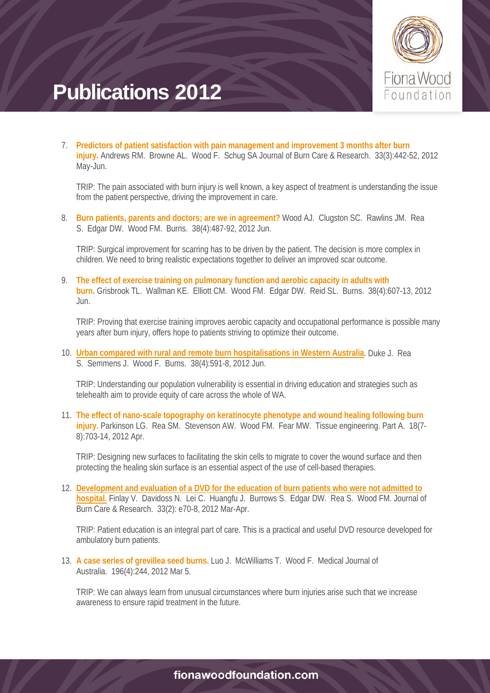

7. **[Predictors of patient satisfaction with pain management and improvement 3 months after burn](http://journals.lww.com/burncareresearch/Abstract/2012/05000/Predictors_of_Patient_Satisfaction_With_Pain.19.aspx)  [injury.](http://journals.lww.com/burncareresearch/Abstract/2012/05000/Predictors_of_Patient_Satisfaction_With_Pain.19.aspx)** Andrews RM. Browne AL. Wood F. Schug SA Journal of Burn Care & Research. 33(3):442-52, 2012 May-Jun.

TRIP: The pain associated with burn injury is well known, a key aspect of treatment is understanding the issue from the patient perspective, driving the improvement in care.

8. **[Burn patients, parents and doctors; are we in agreement?](http://www.sciencedirect.com/science/article/pii/S0305417912000125)** Wood AJ. Clugston SC. Rawlins JM. Rea S. Edgar DW. Wood FM. Burns. 38(4):487-92, 2012 Jun.

TRIP: Surgical improvement for scarring has to be driven by the patient. The decision is more complex in children. We need to bring realistic expectations together to deliver an improved scar outcome.

9. **[The effect of exercise training on pulmonary function and aerobic capacity in adults with](http://www.sciencedirect.com/science/article/pii/S0305417911003421)  [burn.](http://www.sciencedirect.com/science/article/pii/S0305417911003421)** Grisbrook TL. Wallman KE. Elliott CM. Wood FM. Edgar DW. Reid SL. Burns. 38(4):607-13, 2012 Jun.

TRIP: Proving that exercise training improves aerobic capacity and occupational performance is possible many years after burn injury, offers hope to patients striving to optimize their outcome.

10. **[Urban compared with rural and remote burn hospitalisations in Western Australia.](http://www.sciencedirect.com/science/article/pii/S0305417911003342)** Duke J. Rea S. Semmens J. Wood F. Burns. 38(4):591-8, 2012 Jun.

TRIP: Understanding our population vulnerability is essential in driving education and strategies such as telehealth aim to provide equity of care across the whole of WA.

11. **[The effect of nano-scale topography on keratinocyte phenotype and wound healing following burn](http://online.liebertpub.com/doi/abs/10.1089/ten.tea.2011.0307)  [injury.](http://online.liebertpub.com/doi/abs/10.1089/ten.tea.2011.0307)** Parkinson LG. Rea SM. Stevenson AW. Wood FM. Fear MW. Tissue engineering. Part A. 18(7- 8):703-14, 2012 Apr.

TRIP: Designing new surfaces to facilitating the skin cells to migrate to cover the wound surface and then protecting the healing skin surface is an essential aspect of the use of cell-based therapies.

12. **[Development and evaluation of a DVD for the education of burn patients who were not admitted to](http://journals.lww.com/burncareresearch/Abstract/2012/03000/Development_and_Evaluation_of_a_DVD_for_the.25.aspx)  [hospital.](http://journals.lww.com/burncareresearch/Abstract/2012/03000/Development_and_Evaluation_of_a_DVD_for_the.25.aspx)** Finlay V. Davidoss N. Lei C. Huangfu J. Burrows S. Edgar DW. Rea S. Wood FM. Journal of Burn Care & Research. 33(2): e70-8, 2012 Mar-Apr.

TRIP: Patient education is an integral part of care. This is a practical and useful DVD resource developed for ambulatory burn patients.

13. **A case series of grevillea seed burns.** Luo J. McWilliams T. Wood F. Medical Journal of Australia. 196(4):244, 2012 Mar 5.

TRIP: We can always learn from unusual circumstances where burn injuries arise such that we increase awareness to ensure rapid treatment in the future.

#### fionawoodfoundation.com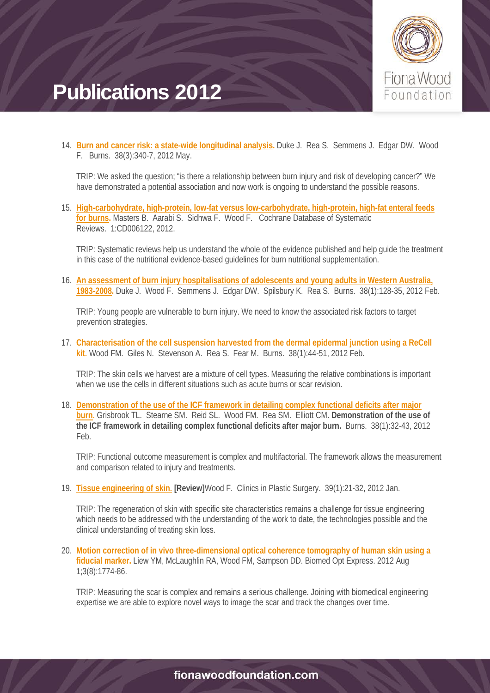

14. **[Burn and cancer risk: a state-wide longitudinal analysis.](http://www.sciencedirect.com/science/article/pii/S0305417911003184)** Duke J. Rea S. Semmens J. Edgar DW. Wood F. Burns. 38(3):340-7, 2012 May.

TRIP: We asked the question; "is there a relationship between burn injury and risk of developing cancer?" We have demonstrated a potential association and now work is ongoing to understand the possible reasons.

15. **[High-carbohydrate, high-protein, low-fat versus low-carbohydrate, high-protein, high-fat enteral feeds](http://onlinelibrary.wiley.com/doi/10.1002/14651858.CD006122.pub3/full)  [for burns.](http://onlinelibrary.wiley.com/doi/10.1002/14651858.CD006122.pub3/full)** Masters B. Aarabi S. Sidhwa F. Wood F. Cochrane Database of Systematic Reviews. 1:CD006122, 2012.

TRIP: Systematic reviews help us understand the whole of the evidence published and help guide the treatment in this case of the nutritional evidence-based guidelines for burn nutritional supplementation.

16. **[An assessment of burn injury hospitalisations of adolescents and young adults in Western Australia,](http://www.sciencedirect.com/science/article/pii/S0305417911000714)  [1983-2008.](http://www.sciencedirect.com/science/article/pii/S0305417911000714)** Duke J. Wood F. Semmens J. Edgar DW. Spilsbury K. Rea S. Burns. 38(1):128-35, 2012 Feb.

TRIP: Young people are vulnerable to burn injury. We need to know the associated risk factors to target prevention strategies.

17. **[Characterisation of the cell suspension harvested from the dermal epidermal junction using a ReCell](http://www.sciencedirect.com/science/article/pii/S0305417911000830)  [kit.](http://www.sciencedirect.com/science/article/pii/S0305417911000830)** Wood FM. Giles N. Stevenson A. Rea S. Fear M. Burns. 38(1):44-51, 2012 Feb.

TRIP: The skin cells we harvest are a mixture of cell types. Measuring the relative combinations is important when we use the cells in different situations such as acute burns or scar revision.

18. **[Demonstration of the use of the ICF framework in detailing complex functional deficits after major](http://www.sciencedirect.com/science/article/pii/S0305417911001070)  [burn.](http://www.sciencedirect.com/science/article/pii/S0305417911001070)** Grisbrook TL. Stearne SM. Reid SL. Wood FM. Rea SM. Elliott CM. **Demonstration of the use of the ICF framework in detailing complex functional deficits after major burn.** Burns. 38(1):32-43, 2012 Feb.

TRIP: Functional outcome measurement is complex and multifactorial. The framework allows the measurement and comparison related to injury and treatments.

19. **[Tissue engineering of skin.](http://www.sciencedirect.com/science/article/pii/S009412981100126X) [Review]**Wood F. Clinics in Plastic Surgery. 39(1):21-32, 2012 Jan.

TRIP: The regeneration of skin with specific site characteristics remains a challenge for tissue engineering which needs to be addressed with the understanding of the work to date, the technologies possible and the clinical understanding of treating skin loss.

20. **[Motion correction of in vivo three-dimensional optical coherence tomography of human skin using a](http://www.opticsinfobase.org/boe/abstract.cfm?uri=boe-3-8-1774)  [fiducial marker.](http://www.opticsinfobase.org/boe/abstract.cfm?uri=boe-3-8-1774)** Liew YM, McLaughlin RA, Wood FM, Sampson DD. Biomed Opt Express. 2012 Aug 1;3(8):1774-86.

TRIP: Measuring the scar is complex and remains a serious challenge. Joining with biomedical engineering expertise we are able to explore novel ways to image the scar and track the changes over time.

#### fionawoodfoundation.com